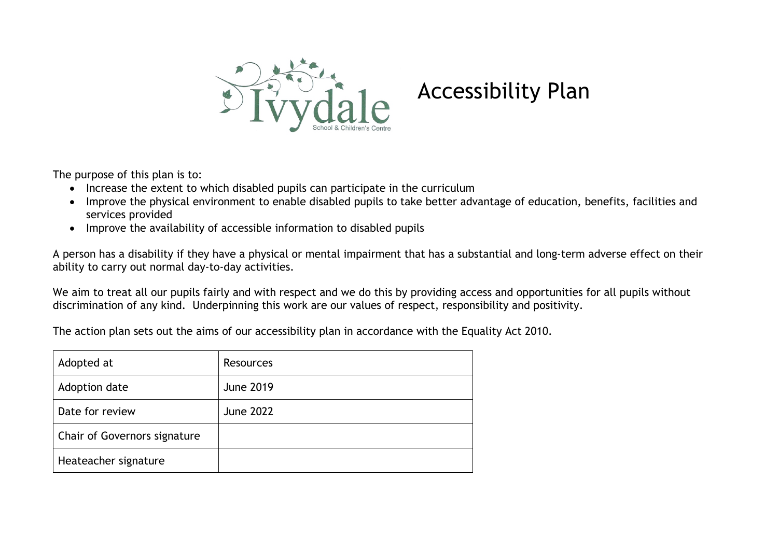

## Accessibility Plan

The purpose of this plan is to:

- Increase the extent to which disabled pupils can participate in the curriculum
- Improve the physical environment to enable disabled pupils to take better advantage of education, benefits, facilities and services provided
- Improve the availability of accessible information to disabled pupils

A person has a disability if they have a physical or mental impairment that has a substantial and long-term adverse effect on their ability to carry out normal day-to-day activities.

We aim to treat all our pupils fairly and with respect and we do this by providing access and opportunities for all pupils without discrimination of any kind. Underpinning this work are our values of respect, responsibility and positivity.

The action plan sets out the aims of our accessibility plan in accordance with the Equality Act 2010.

| Adopted at                   | Resources        |
|------------------------------|------------------|
| Adoption date                | <b>June 2019</b> |
| Date for review              | <b>June 2022</b> |
| Chair of Governors signature |                  |
| Heateacher signature         |                  |